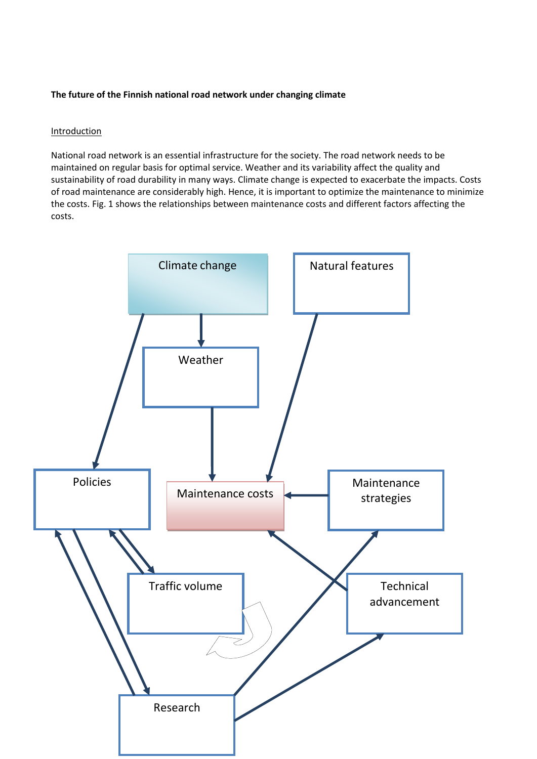## **The future of the Finnish national road network under changing climate**

#### Introduction

National road network is an essential infrastructure for the society. The road network needs to be maintained on regular basis for optimal service. Weather and its variability affect the quality and sustainability of road durability in many ways. Climate change is expected to exacerbate the impacts. Costs of road maintenance are considerably high. Hence, it is important to optimize the maintenance to minimize the costs. Fig. 1 shows the relationships between maintenance costs and different factors affecting the costs.

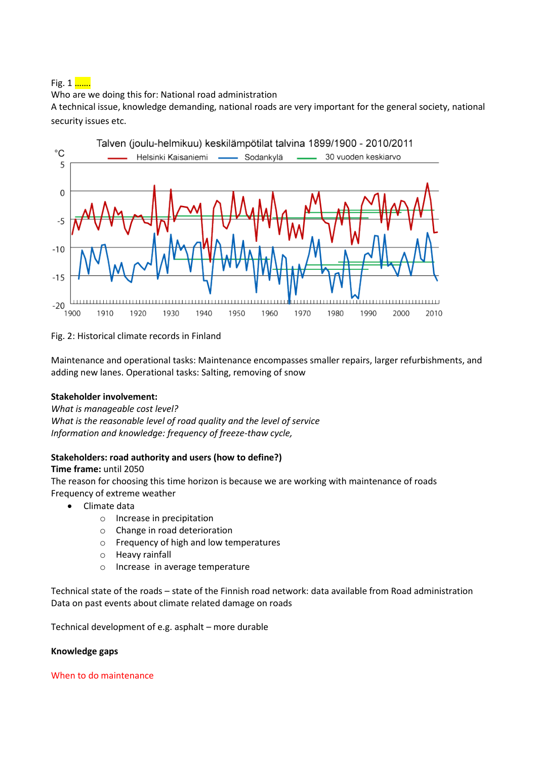Fig.  $1 \dots$ 

Who are we doing this for: National road administration

A technical issue, knowledge demanding, national roads are very important for the general society, national security issues etc.



Fig. 2: Historical climate records in Finland

Maintenance and operational tasks: Maintenance encompasses smaller repairs, larger refurbishments, and adding new lanes. Operational tasks: Salting, removing of snow

# **Stakeholder involvement:**

*What is manageable cost level?*

*What is the reasonable level of road quality and the level of service Information and knowledge: frequency of freeze-thaw cycle,* 

# **Stakeholders: road authority and users (how to define?)**

#### **Time frame:** until 2050

The reason for choosing this time horizon is because we are working with maintenance of roads Frequency of extreme weather

- Climate data
	- o Increase in precipitation
	- o Change in road deterioration
	- o Frequency of high and low temperatures
	- o Heavy rainfall
	- o Increase in average temperature

Technical state of the roads – state of the Finnish road network: data available from Road administration Data on past events about climate related damage on roads

Technical development of e.g. asphalt – more durable

#### **Knowledge gaps**

#### When to do maintenance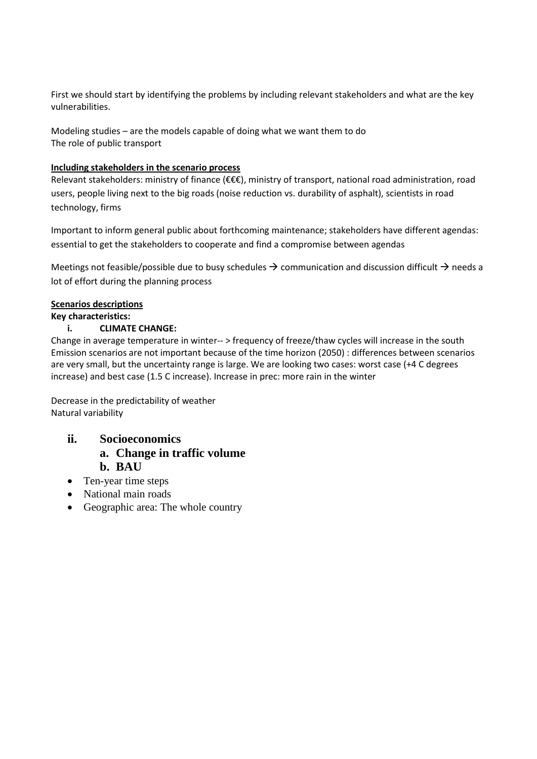First we should start by identifying the problems by including relevant stakeholders and what are the key vulnerabilities.

Modeling studies – are the models capable of doing what we want them to do The role of public transport

## **Including stakeholders in the scenario process**

Relevant stakeholders: ministry of finance (€€€), ministry of transport, national road administration, road users, people living next to the big roads (noise reduction vs. durability of asphalt), scientists in road technology, firms

Important to inform general public about forthcoming maintenance; stakeholders have different agendas: essential to get the stakeholders to cooperate and find a compromise between agendas

Meetings not feasible/possible due to busy schedules  $\rightarrow$  communication and discussion difficult  $\rightarrow$  needs a lot of effort during the planning process

## **Scenarios descriptions**

## **Key characteristics:**

## **i. CLIMATE CHANGE:**

Change in average temperature in winter-- > frequency of freeze/thaw cycles will increase in the south Emission scenarios are not important because of the time horizon (2050) : differences between scenarios are very small, but the uncertainty range is large. We are looking two cases: worst case (+4 C degrees increase) and best case (1.5 C increase). Increase in prec: more rain in the winter

Decrease in the predictability of weather Natural variability

- **ii. Socioeconomics a. Change in traffic volume b. BAU**
- Ten-year time steps
- National main roads
- Geographic area: The whole country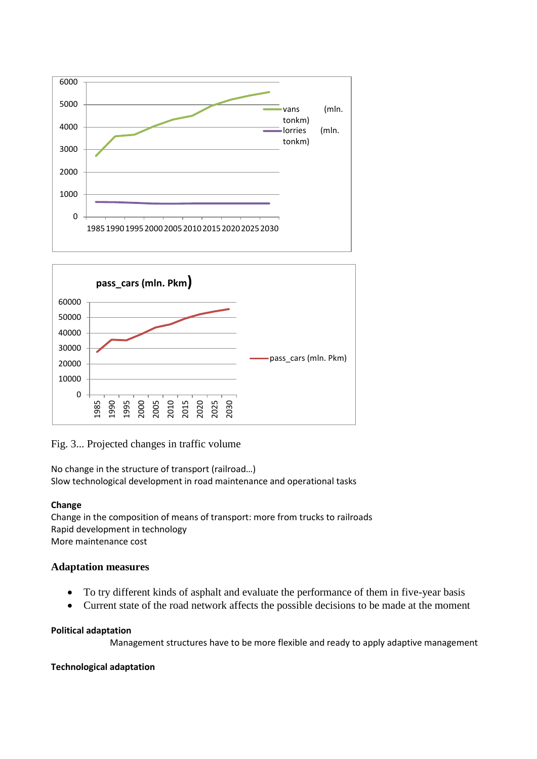



Fig. 3... Projected changes in traffic volume

No change in the structure of transport (railroad…) Slow technological development in road maintenance and operational tasks

# **Change**

Change in the composition of means of transport: more from trucks to railroads Rapid development in technology More maintenance cost

# **Adaptation measures**

- To try different kinds of asphalt and evaluate the performance of them in five-year basis
- Current state of the road network affects the possible decisions to be made at the moment

# **Political adaptation**

Management structures have to be more flexible and ready to apply adaptive management

# **Technological adaptation**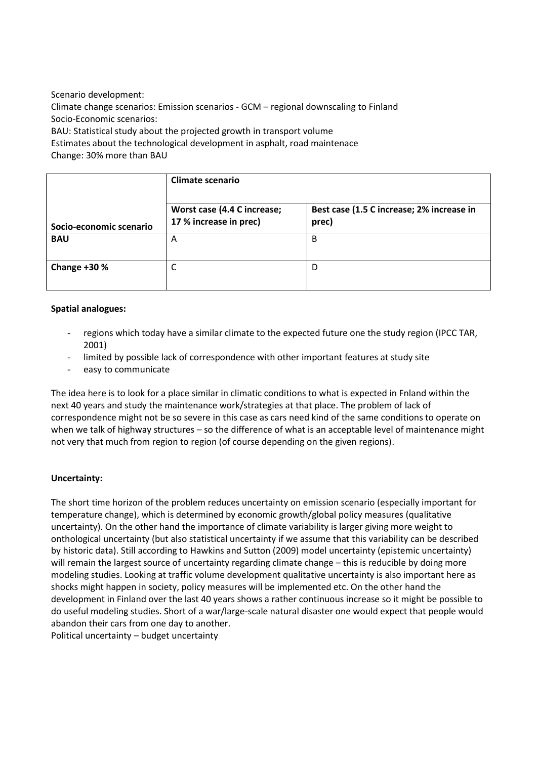Scenario development: Climate change scenarios: Emission scenarios - GCM – regional downscaling to Finland Socio-Economic scenarios: BAU: Statistical study about the projected growth in transport volume

Estimates about the technological development in asphalt, road maintenace

Change: 30% more than BAU

|                         | Climate scenario                                      |                                                    |  |  |
|-------------------------|-------------------------------------------------------|----------------------------------------------------|--|--|
| Socio-economic scenario | Worst case (4.4 C increase;<br>17 % increase in prec) | Best case (1.5 C increase; 2% increase in<br>prec) |  |  |
| <b>BAU</b>              | A                                                     | B                                                  |  |  |
| Change +30 %            | ◡                                                     | D                                                  |  |  |

# **Spatial analogues:**

- regions which today have a similar climate to the expected future one the study region (IPCC TAR, 2001)
- limited by possible lack of correspondence with other important features at study site
- easy to communicate

The idea here is to look for a place similar in climatic conditions to what is expected in Fnland within the next 40 years and study the maintenance work/strategies at that place. The problem of lack of correspondence might not be so severe in this case as cars need kind of the same conditions to operate on when we talk of highway structures – so the difference of what is an acceptable level of maintenance might not very that much from region to region (of course depending on the given regions).

# **Uncertainty:**

The short time horizon of the problem reduces uncertainty on emission scenario (especially important for temperature change), which is determined by economic growth/global policy measures (qualitative uncertainty). On the other hand the importance of climate variability is larger giving more weight to onthological uncertainty (but also statistical uncertainty if we assume that this variability can be described by historic data). Still according to Hawkins and Sutton (2009) model uncertainty (epistemic uncertainty) will remain the largest source of uncertainty regarding climate change – this is reducible by doing more modeling studies. Looking at traffic volume development qualitative uncertainty is also important here as shocks might happen in society, policy measures will be implemented etc. On the other hand the development in Finland over the last 40 years shows a rather continuous increase so it might be possible to do useful modeling studies. Short of a war/large-scale natural disaster one would expect that people would abandon their cars from one day to another.

Political uncertainty – budget uncertainty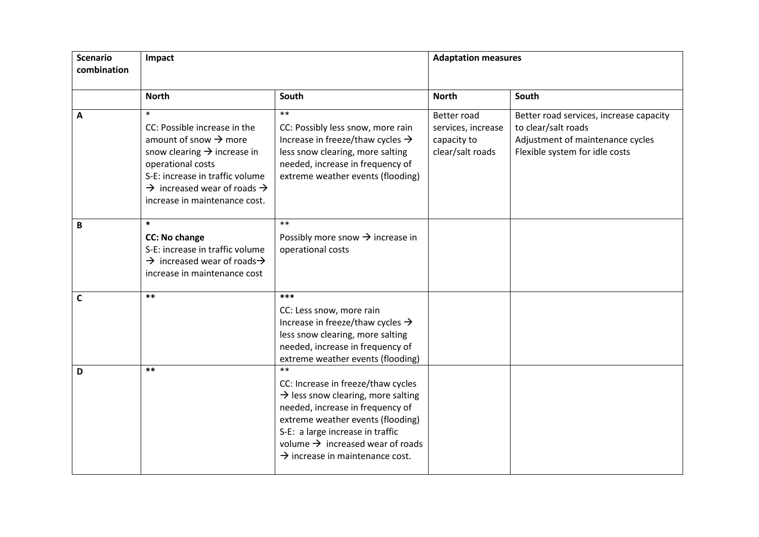| <b>Scenario</b><br>combination | Impact                                                                                                                                                                                                                                                                 |                                                                                                                                                                                                                                                                                                          | <b>Adaptation measures</b>                                           |                                                                                                                                      |
|--------------------------------|------------------------------------------------------------------------------------------------------------------------------------------------------------------------------------------------------------------------------------------------------------------------|----------------------------------------------------------------------------------------------------------------------------------------------------------------------------------------------------------------------------------------------------------------------------------------------------------|----------------------------------------------------------------------|--------------------------------------------------------------------------------------------------------------------------------------|
|                                | <b>North</b>                                                                                                                                                                                                                                                           | South                                                                                                                                                                                                                                                                                                    | <b>North</b>                                                         | South                                                                                                                                |
| A                              | $\ast$<br>CC: Possible increase in the<br>amount of snow $\rightarrow$ more<br>snow clearing $\rightarrow$ increase in<br>operational costs<br>S-E: increase in traffic volume<br>$\rightarrow$ increased wear of roads $\rightarrow$<br>increase in maintenance cost. | $**$<br>CC: Possibly less snow, more rain<br>Increase in freeze/thaw cycles $\rightarrow$<br>less snow clearing, more salting<br>needed, increase in frequency of<br>extreme weather events (flooding)                                                                                                   | Better road<br>services, increase<br>capacity to<br>clear/salt roads | Better road services, increase capacity<br>to clear/salt roads<br>Adjustment of maintenance cycles<br>Flexible system for idle costs |
| B                              | $\ast$<br><b>CC: No change</b><br>S-E: increase in traffic volume<br>$\rightarrow$ increased wear of roads $\rightarrow$<br>increase in maintenance cost                                                                                                               | $**$<br>Possibly more snow $\rightarrow$ increase in<br>operational costs                                                                                                                                                                                                                                |                                                                      |                                                                                                                                      |
| $\mathsf{C}$                   | $***$                                                                                                                                                                                                                                                                  | ***<br>CC: Less snow, more rain<br>Increase in freeze/thaw cycles $\rightarrow$<br>less snow clearing, more salting<br>needed, increase in frequency of<br>extreme weather events (flooding)                                                                                                             |                                                                      |                                                                                                                                      |
| D                              | $***$                                                                                                                                                                                                                                                                  | $**$<br>CC: Increase in freeze/thaw cycles<br>$\rightarrow$ less snow clearing, more salting<br>needed, increase in frequency of<br>extreme weather events (flooding)<br>S-E: a large increase in traffic<br>volume $\rightarrow$ increased wear of roads<br>$\rightarrow$ increase in maintenance cost. |                                                                      |                                                                                                                                      |